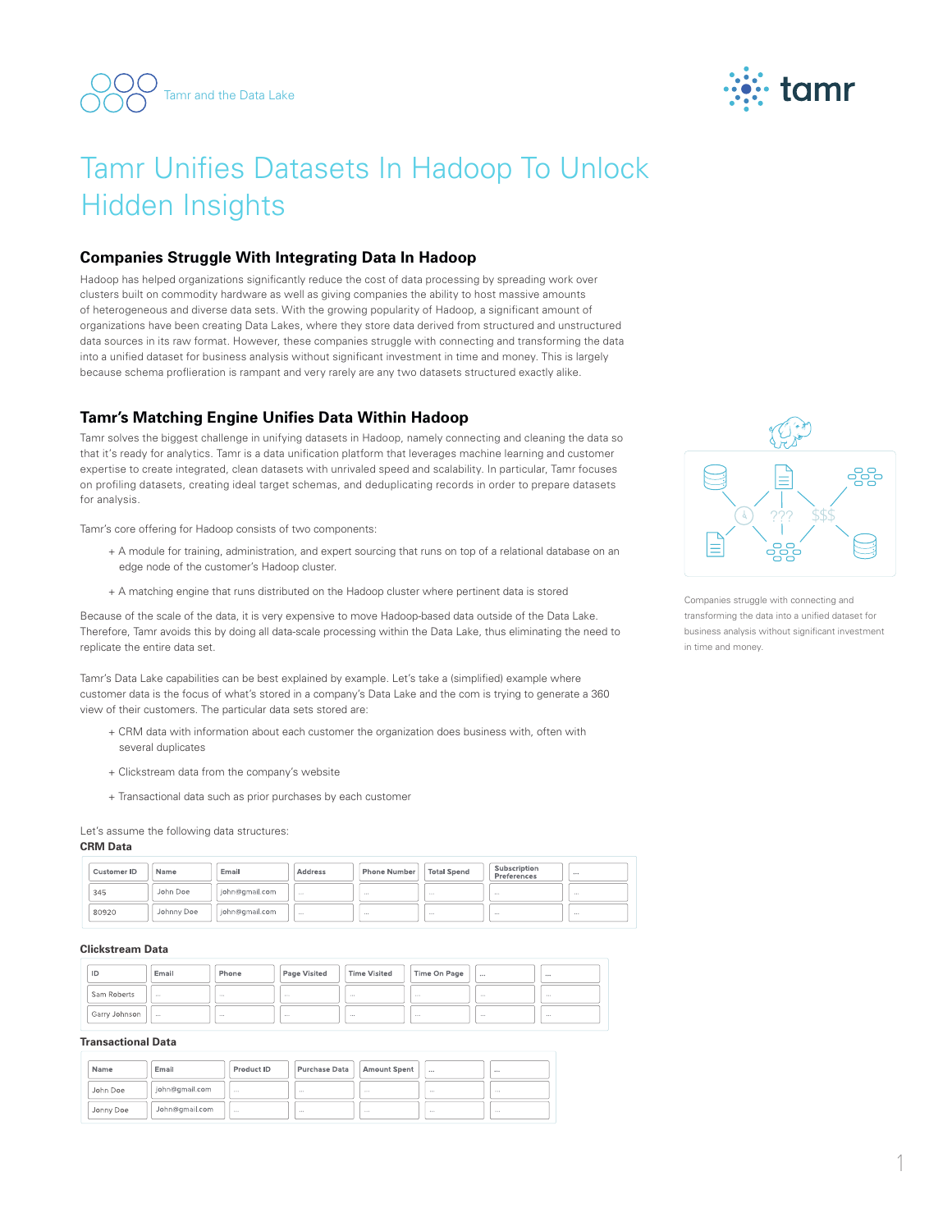



# Tamr Unifies Datasets In Hadoop To Unlock Hidden Insights

# **Companies Struggle With Integrating Data In Hadoop**

Hadoop has helped organizations significantly reduce the cost of data processing by spreading work over clusters built on commodity hardware as well as giving companies the ability to host massive amounts of heterogeneous and diverse data sets. With the growing popularity of Hadoop, a significant amount of organizations have been creating Data Lakes, where they store data derived from structured and unstructured data sources in its raw format. However, these companies struggle with connecting and transforming the data into a unified dataset for business analysis without significant investment in time and money. This is largely because schema proflieration is rampant and very rarely are any two datasets structured exactly alike.

# **Tamr's Matching Engine Unifies Data Within Hadoop**

Tamr solves the biggest challenge in unifying datasets in Hadoop, namely connecting and cleaning the data so that it's ready for analytics. Tamr is a data unification platform that leverages machine learning and customer expertise to create integrated, clean datasets with unrivaled speed and scalability. In particular, Tamr focuses on profiling datasets, creating ideal target schemas, and deduplicating records in order to prepare datasets for analysis.

Tamr's core offering for Hadoop consists of two components:

- + A module for training, administration, and expert sourcing that runs on top of a relational database on an edge node of the customer's Hadoop cluster.
- + A matching engine that runs distributed on the Hadoop cluster where pertinent data is stored

Because of the scale of the data, it is very expensive to move Hadoop-based data outside of the Data Lake. Therefore, Tamr avoids this by doing all data-scale processing within the Data Lake, thus eliminating the need to replicate the entire data set.

Tamr's Data Lake capabilities can be best explained by example. Let's take a (simplified) example where customer data is the focus of what's stored in a company's Data Lake and the com is trying to generate a 360 view of their customers. The particular data sets stored are:

- + CRM data with information about each customer the organization does business with, often with several duplicates
- + Clickstream data from the company's website
- + Transactional data such as prior purchases by each customer

Let's assume the following data structures:

## **CRM Data**

| Customer ID | Name       | Email          | <b>Address</b> | <b>Phone Number</b> | <b>Total Spend</b> | Subscription<br>Preferences |      |
|-------------|------------|----------------|----------------|---------------------|--------------------|-----------------------------|------|
| 345         | John Doe   | john@gmail.com | $\cdots$       | $\cdots$            | $\cdots$           | $\cdots$                    | $-$  |
| 80920       | Johnny Doe | john@gmail.com | 1.1.1          | 1.1.1               | $\cdots$           | $\cdots$                    | 1.11 |

#### **Clickstream Data**

| ID            | Email    | Phone | Page Visited | Time Visited | Time On Page |       |       |
|---------------|----------|-------|--------------|--------------|--------------|-------|-------|
| Sam Roberts   | 1000     | 10000 | 11.11        | 11.11        | 1,000        | 10000 | 10000 |
| Garry Johnson | $\cdots$ | 1.4.4 | <b>A 6 6</b> | <b>A 6 6</b> | 1.4.4        | 1.4.4 |       |

#### **Transactional Data**

| Name      | Email          | Product ID | Purchase Data | <b>Amount Spent</b> |          |          |
|-----------|----------------|------------|---------------|---------------------|----------|----------|
| John Doe  | john@qmail.com | $\cdots$   | $\cdots$      | $\cdots$            | $\cdots$ | $\cdots$ |
| Jonny Doe | John@gmail.com | $\cdots$   | 1.11          | 1.11                | $\cdots$ | 1.11     |



Companies struggle with connecting and transforming the data into a unified dataset for business analysis without significant investment in time and money.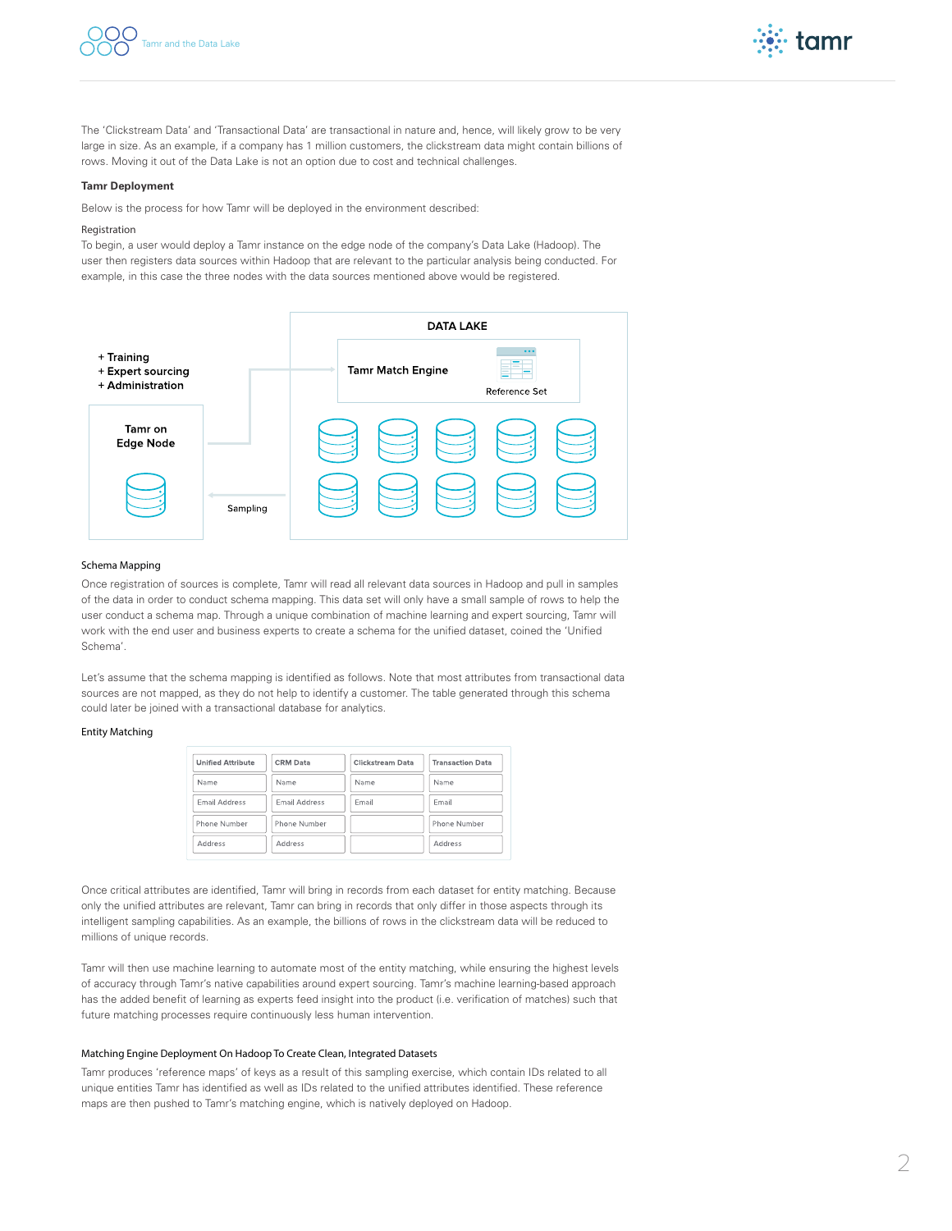



The 'Clickstream Data' and 'Transactional Data' are transactional in nature and, hence, will likely grow to be very large in size. As an example, if a company has 1 million customers, the clickstream data might contain billions of rows. Moving it out of the Data Lake is not an option due to cost and technical challenges.

#### **Tamr Deployment**

Below is the process for how Tamr will be deployed in the environment described:

#### Registration

To begin, a user would deploy a Tamr instance on the edge node of the company's Data Lake (Hadoop). The user then registers data sources within Hadoop that are relevant to the particular analysis being conducted. For example, in this case the three nodes with the data sources mentioned above would be registered.



#### Schema Mapping

Once registration of sources is complete, Tamr will read all relevant data sources in Hadoop and pull in samples of the data in order to conduct schema mapping. This data set will only have a small sample of rows to help the user conduct a schema map. Through a unique combination of machine learning and expert sourcing, Tamr will work with the end user and business experts to create a schema for the unified dataset, coined the 'Unified Schema'.

Let's assume that the schema mapping is identified as follows. Note that most attributes from transactional data sources are not mapped, as they do not help to identify a customer. The table generated through this schema could later be joined with a transactional database for analytics.

## Entity Matching

| <b>Unified Attribute</b> | <b>CRM Data</b>      | Clickstream Data | <b>Transaction Data</b> |  |  |
|--------------------------|----------------------|------------------|-------------------------|--|--|
| Name                     | Name                 | Name             | Name                    |  |  |
| Email Address            | <b>Email Address</b> | Email            | Email                   |  |  |
| Phone Number             | Phone Number         |                  | Phone Number            |  |  |
| Address                  | Address              |                  | Address                 |  |  |

Once critical attributes are identified, Tamr will bring in records from each dataset for entity matching. Because only the unified attributes are relevant, Tamr can bring in records that only differ in those aspects through its intelligent sampling capabilities. As an example, the billions of rows in the clickstream data will be reduced to millions of unique records.

Tamr will then use machine learning to automate most of the entity matching, while ensuring the highest levels of accuracy through Tamr's native capabilities around expert sourcing. Tamr's machine learning-based approach has the added benefit of learning as experts feed insight into the product (i.e. verification of matches) such that future matching processes require continuously less human intervention.

#### Matching Engine Deployment On Hadoop To Create Clean, Integrated Datasets

Tamr produces 'reference maps' of keys as a result of this sampling exercise, which contain IDs related to all unique entities Tamr has identified as well as IDs related to the unified attributes identified. These reference maps are then pushed to Tamr's matching engine, which is natively deployed on Hadoop.